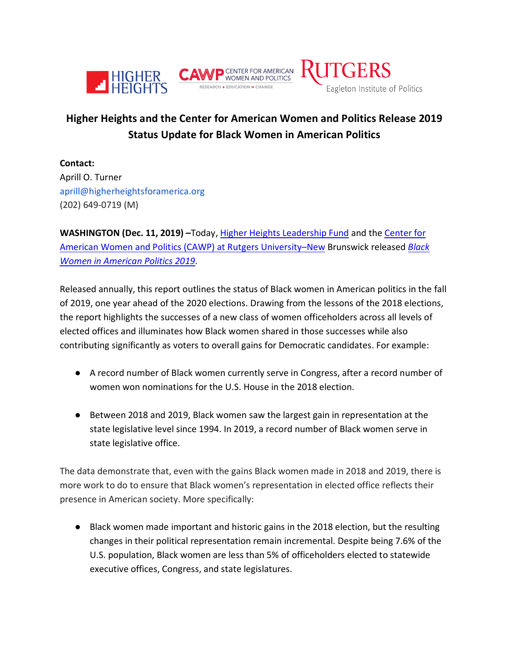

## **Higher Heights and the Center for American Women and Politics Release 2019 Status Update for Black Women in American Politics**

**Contact:** Aprill O. Turner aprill@higherheightsforamerica.org (202) 649-0719 (M)

**WASHINGTON (Dec. 11, 2019) –**Today, [Higher Heights Leadership Fund](http://www.higherheightsleadershipfund.org/) and the [Center for](https://www.cawp.rutgers.edu/)  [American Women and Politics \(CAWP\) at Rutgers University–New](https://www.cawp.rutgers.edu/) Brunswick released *[Black](https://cawp.rutgers.edu/sites/default/files/resources/black-women-politics-2019.pdf)  [Women in American Politics 2019](https://cawp.rutgers.edu/sites/default/files/resources/black-women-politics-2019.pdf)*.

Released annually, this report outlines the status of Black women in American politics in the fall of 2019, one year ahead of the 2020 elections. Drawing from the lessons of the 2018 elections, the report highlights the successes of a new class of women officeholders across all levels of elected offices and illuminates how Black women shared in those successes while also contributing significantly as voters to overall gains for Democratic candidates. For example:

- A record number of Black women currently serve in Congress, after a record number of women won nominations for the U.S. House in the 2018 election.
- Between 2018 and 2019, Black women saw the largest gain in representation at the state legislative level since 1994. In 2019, a record number of Black women serve in state legislative office.

The data demonstrate that, even with the gains Black women made in 2018 and 2019, there is more work to do to ensure that Black women's representation in elected office reflects their presence in American society. More specifically:

● Black women made important and historic gains in the 2018 election, but the resulting changes in their political representation remain incremental. Despite being 7.6% of the U.S. population, Black women are less than 5% of officeholders elected to statewide executive offices, Congress, and state legislatures.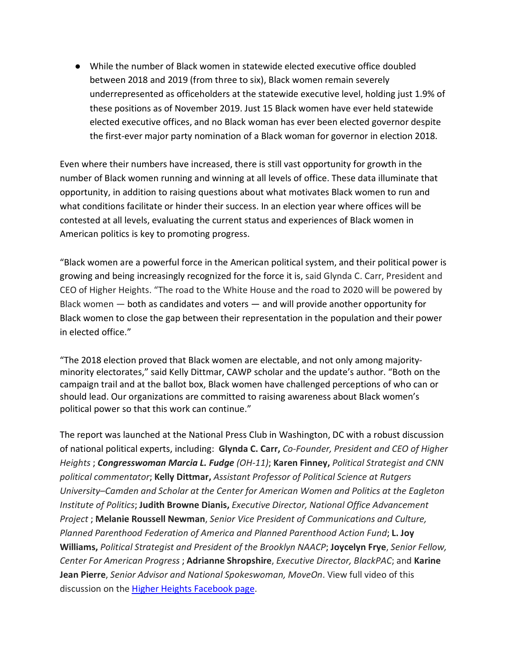● While the number of Black women in statewide elected executive office doubled between 2018 and 2019 (from three to six), Black women remain severely underrepresented as officeholders at the statewide executive level, holding just 1.9% of these positions as of November 2019. Just 15 Black women have ever held statewide elected executive offices, and no Black woman has ever been elected governor despite the first-ever major party nomination of a Black woman for governor in election 2018.

Even where their numbers have increased, there is still vast opportunity for growth in the number of Black women running and winning at all levels of office. These data illuminate that opportunity, in addition to raising questions about what motivates Black women to run and what conditions facilitate or hinder their success. In an election year where offices will be contested at all levels, evaluating the current status and experiences of Black women in American politics is key to promoting progress.

"Black women are a powerful force in the American political system, and their political power is growing and being increasingly recognized for the force it is, said Glynda C. Carr, President and CEO of Higher Heights. "The road to the White House and the road to 2020 will be powered by Black women — both as candidates and voters — and will provide another opportunity for Black women to close the gap between their representation in the population and their power in elected office."

"The 2018 election proved that Black women are electable, and not only among majorityminority electorates," said Kelly Dittmar, CAWP scholar and the update's author. "Both on the campaign trail and at the ballot box, Black women have challenged perceptions of who can or should lead. Our organizations are committed to raising awareness about Black women's political power so that this work can continue."

The report was launched at the National Press Club in Washington, DC with a robust discussion of national political experts, including: **Glynda C. Carr,** *Co-Founder, President and CEO of Higher Heights* ; *Congresswoman Marcia L. Fudge (OH-11)*; **Karen Finney,** *Political Strategist and CNN political commentator*; **Kelly Dittmar,** *Assistant Professor of Political Science at Rutgers University–Camden and Scholar at the Center for American Women and Politics at the Eagleton Institute of Politics*; **Judith Browne Dianis,** *Executive Director, National Office Advancement Project* ; **Melanie Roussell Newman**, *Senior Vice President of Communications and Culture, Planned Parenthood Federation of America and Planned Parenthood Action Fund*; **L. Joy Williams,** *Political Strategist and President of the Brooklyn NAACP*; **Joycelyn Frye**, *Senior Fellow, Center For American Progress* ; **Adrianne Shropshire**, *Executive Director, BlackPAC*; and **Karine Jean Pierre**, *Senior Advisor and National Spokeswoman, MoveOn*. View full video of this discussion on the [Higher Heights Facebook page.](https://www.facebook.com/watch/live/?v=568282887304914)